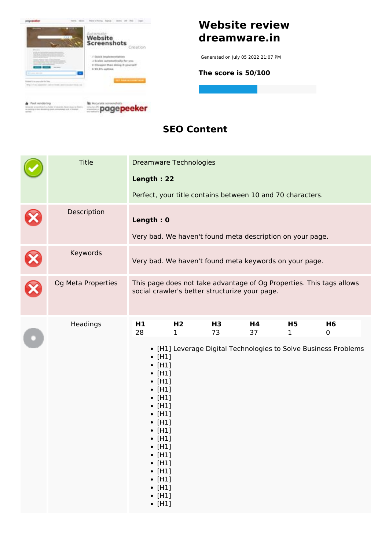

#### **SEO Content**

| <b>Title</b>       | <b>Dreamware Technologies</b>                                                                                                                                                                                                                                                                                                                                              |                                                                        |                                                            |          |                    |                                                                                      |  |
|--------------------|----------------------------------------------------------------------------------------------------------------------------------------------------------------------------------------------------------------------------------------------------------------------------------------------------------------------------------------------------------------------------|------------------------------------------------------------------------|------------------------------------------------------------|----------|--------------------|--------------------------------------------------------------------------------------|--|
|                    | Length: 22                                                                                                                                                                                                                                                                                                                                                                 |                                                                        | Perfect, your title contains between 10 and 70 characters. |          |                    |                                                                                      |  |
| Description        |                                                                                                                                                                                                                                                                                                                                                                            | Length: 0<br>Very bad. We haven't found meta description on your page. |                                                            |          |                    |                                                                                      |  |
| Keywords           | Very bad. We haven't found meta keywords on your page.                                                                                                                                                                                                                                                                                                                     |                                                                        |                                                            |          |                    |                                                                                      |  |
| Og Meta Properties |                                                                                                                                                                                                                                                                                                                                                                            |                                                                        | social crawler's better structurize your page.             |          |                    | This page does not take advantage of Og Properties. This tags allows                 |  |
| Headings           | H <sub>1</sub><br>28<br>$\bullet$ [H1]<br>$\bullet$ [H1]<br>$\bullet$ [H1]<br>$\bullet$ [H1]<br>$\bullet$ [H1]<br>$\bullet$ [H1]<br>$\bullet$ [H1]<br>$\bullet$ [H1]<br>$\bullet$ [H1]<br>$\bullet$ [H1]<br>$\bullet$ [H1]<br>$\bullet$ [H1]<br>$\bullet$ [H1]<br>$\bullet$ [H1]<br>$\bullet$ [H1]<br>$\bullet$ [H1]<br>$\bullet$ [H1]<br>$\bullet$ [H1]<br>$\bullet$ [H1] | H <sub>2</sub><br>$\mathbf{1}$                                         | H3<br>73                                                   | H4<br>37 | H5<br>$\mathbf{1}$ | H6<br>$\mathbf 0$<br>• [H1] Leverage Digital Technologies to Solve Business Problems |  |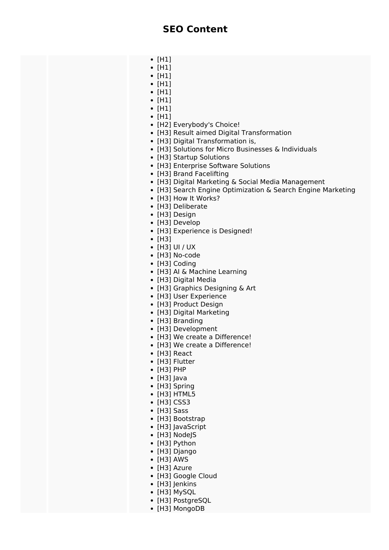- $\bullet$  [H1]
- $\bullet$  [H1]
- $\cdot$  [H1]
- $\bullet$  [H1]
- $\bullet$  [H1]
- $\bullet$  [H1]
- $\bullet$  [H1]
- $\bullet$  [H1]
- [H2] Everybody's Choice!
- [H3] Result aimed Digital Transformation
- [H3] Digital Transformation is,
- [H3] Solutions for Micro Businesses & Individuals
- [H3] Startup Solutions
- [H3] Enterprise Software Solutions
- [H3] Brand Facelifting
- [H3] Digital Marketing & Social Media Management
- [H3] Search Engine Optimization & Search Engine Marketing
- [H3] How It Works?
- [H3] Deliberate
- [H3] Design
- [H3] Develop
- [H3] Experience is Designed!
- [H3]
- $\bullet$  [H3] UI / UX
- [H3] No-code
- [H3] Coding
- [H3] AI & Machine Learning
- [H3] Digital Media
- [H3] Graphics Designing & Art
- [H3] User Experience
- [H3] Product Design
- [H3] Digital Marketing
- [H3] Branding
- [H3] Development
- [H3] We create a Difference!
- [H3] We create a Difference!
- [H3] React
- [H3] Flutter
- [H3] PHP
- [H3] lava
- [H3] Spring
- $\bullet$  [H3] HTML5
- $\bullet$  [H3] CSS3
- [H3] Sass
- [H3] Bootstrap
- [H3] lavaScript
- [H3] NodeJS
- [H3] Python
- [H3] Django
- $\bullet$  [H3] AWS
- [H3] Azure
- [H3] Google Cloud
- [H3] Jenkins
- [H3] MySQL
- [H3] PostgreSQL
- [H3] MongoDB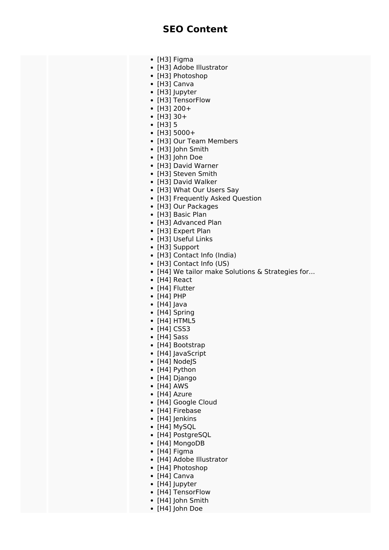- [H3] Figma
- [H3] Adobe Illustrator
- [H3] Photoshop
- [H3] Canva
- [H3] Jupyter
- [H3] TensorFlow
- $\cdot$  [H3] 200+
- [H3] 30+
- $\bullet$  [H3] 5
- $\cdot$  [H3] 5000+
- [H3] Our Team Members
- [H3] John Smith
- [H3] John Doe
- [H3] David Warner
- [H3] Steven Smith
- [H3] David Walker
- [H3] What Our Users Say
- [H3] Frequently Asked Question
- [H3] Our Packages
- [H3] Basic Plan
- [H3] Advanced Plan
- [H3] Expert Plan
- [H3] Useful Links
- [H3] Support
- [H3] Contact Info (India)
- [H3] Contact Info (US)
- [H4] We tailor make Solutions & Strategies for...
- [H4] React
- [H4] Flutter
- [H4] PHP
- [H4] lava
- [H4] Spring
- $\bullet$  [H4] HTML5
- $\bullet$  [H4] CSS3
- [H4] Sass
- [H4] Bootstrap
- [H4] JavaScript
- [H4] NodeJS
- [H4] Python
- [H4] Django
- $\bullet$  [H4] AWS
- [H4] Azure
- [H4] Google Cloud
- [H4] Firebase
- [H4] Jenkins
- [H4] MySOL
- [H4] PostgreSQL
- [H4] MongoDB
- [H4] Figma
- [H4] Adobe Illustrator
- [H4] Photoshop
- [H4] Canva
- [H4] Jupyter
- [H4] TensorFlow
- [H4] John Smith
- [H4] John Doe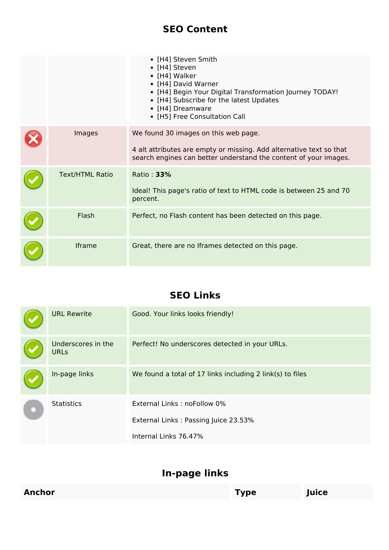#### **SEO Content**

|                        | • [H4] Steven Smith<br>• [H4] Steven<br>• [H4] Walker<br>• [H4] David Warner<br>• [H4] Begin Your Digital Transformation Journey TODAY!<br>• [H4] Subscribe for the latest Updates<br>• [H4] Dreamware<br>• [H5] Free Consultation Call |
|------------------------|-----------------------------------------------------------------------------------------------------------------------------------------------------------------------------------------------------------------------------------------|
| Images                 | We found 30 images on this web page.<br>4 alt attributes are empty or missing. Add alternative text so that<br>search engines can better understand the content of your images.                                                         |
| <b>Text/HTML Ratio</b> | Ratio: 33%<br>Ideal! This page's ratio of text to HTML code is between 25 and 70<br>percent.                                                                                                                                            |
| Flash                  | Perfect, no Flash content has been detected on this page.                                                                                                                                                                               |
| Iframe                 | Great, there are no Iframes detected on this page.                                                                                                                                                                                      |

### **SEO Links**

| <b>URL Rewrite</b>                | Good. Your links looks friendly!                          |  |  |
|-----------------------------------|-----------------------------------------------------------|--|--|
| Underscores in the<br><b>URLs</b> | Perfect! No underscores detected in your URLs.            |  |  |
| In-page links                     | We found a total of 17 links including 2 link(s) to files |  |  |
| <b>Statistics</b>                 | External Links: noFollow 0%                               |  |  |
|                                   | External Links: Passing Juice 23.53%                      |  |  |
|                                   | Internal Links 76.47%                                     |  |  |

## **In-page links**

| Anchor | Гуре | Juice |  |
|--------|------|-------|--|
|        |      |       |  |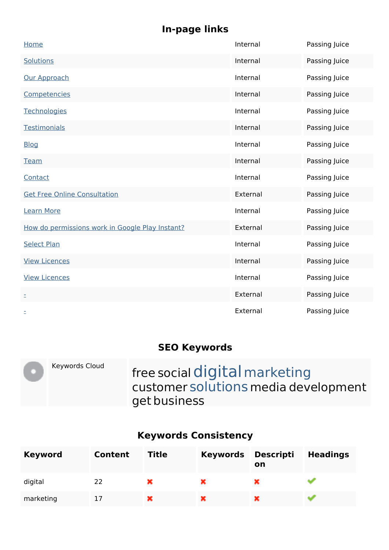## **In-page links**

| Home                                            | Internal | Passing Juice |
|-------------------------------------------------|----------|---------------|
| <b>Solutions</b>                                | Internal | Passing Juice |
| Our Approach                                    | Internal | Passing Juice |
| Competencies                                    | Internal | Passing Juice |
| Technologies                                    | Internal | Passing Juice |
| Testimonials                                    | Internal | Passing Juice |
| <b>Blog</b>                                     | Internal | Passing Juice |
| <b>Team</b>                                     | Internal | Passing Juice |
| Contact                                         | Internal | Passing Juice |
| <b>Get Free Online Consultation</b>             | External | Passing Juice |
| <b>Learn More</b>                               | Internal | Passing Juice |
| How do permissions work in Google Play Instant? | External | Passing Juice |
| <b>Select Plan</b>                              | Internal | Passing Juice |
| <b>View Licences</b>                            | Internal | Passing Juice |
| <b>View Licences</b>                            | Internal | Passing Juice |
| Ė,                                              | External | Passing Juice |
| Ξ                                               | External | Passing Juice |

### **SEO Keywords**

| Keywords Cloud | free social digital marketing<br>customer solutions media development<br>get business |
|----------------|---------------------------------------------------------------------------------------|
|                |                                                                                       |

# **Keywords Consistency**

| <b>Keyword</b> | <b>Content</b> | <b>Title</b> | <b>Keywords</b> | <b>Descripti</b><br>on | <b>Headings</b> |
|----------------|----------------|--------------|-----------------|------------------------|-----------------|
| digital        | 22             | ×            |                 |                        |                 |
| marketing      |                | ×            |                 |                        |                 |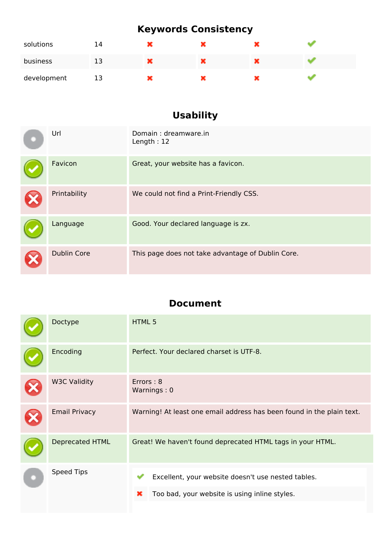## **Keywords Consistency**

| solutions   | 14 | æ    |  |  |
|-------------|----|------|--|--|
| business    | 13 | ×    |  |  |
| development | 13 | a ma |  |  |

# **Usability**

| Url                | Domain: dreamware.in<br>Length: $12$              |
|--------------------|---------------------------------------------------|
| Favicon            | Great, your website has a favicon.                |
| Printability       | We could not find a Print-Friendly CSS.           |
| Language           | Good. Your declared language is zx.               |
| <b>Dublin Core</b> | This page does not take advantage of Dublin Core. |

#### **Document**

|            | Doctype                | HTML 5                                                                |  |  |  |
|------------|------------------------|-----------------------------------------------------------------------|--|--|--|
|            | Encoding               | Perfect. Your declared charset is UTF-8.                              |  |  |  |
|            | <b>W3C Validity</b>    | Errors: 8<br>Warnings: 0                                              |  |  |  |
|            | <b>Email Privacy</b>   | Warning! At least one email address has been found in the plain text. |  |  |  |
|            | <b>Deprecated HTML</b> | Great! We haven't found deprecated HTML tags in your HTML.            |  |  |  |
| Speed Tips |                        | Excellent, your website doesn't use nested tables.                    |  |  |  |
|            |                        | Too bad, your website is using inline styles.<br>×                    |  |  |  |